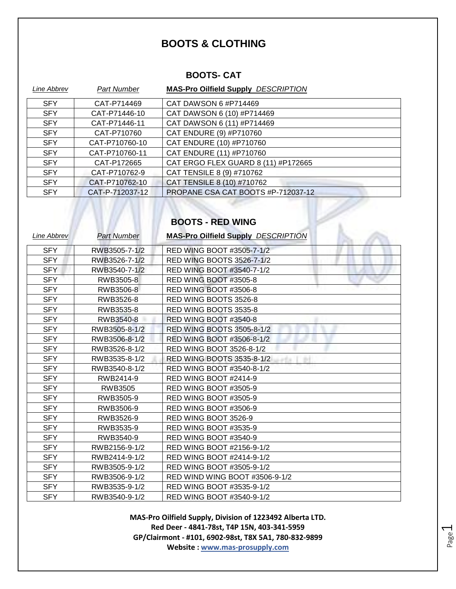### **BOOTS & CLOTHING**

### **BOOTS- CAT**

| Line Abbrev | <b>Part Number</b> | <b>MAS-Pro Oilfield Supply DESCRIPTION</b> |
|-------------|--------------------|--------------------------------------------|
| <b>SFY</b>  | CAT-P714469        | CAT DAWSON 6 #P714469                      |
| <b>SFY</b>  | CAT-P71446-10      | CAT DAWSON 6 (10) #P714469                 |
| <b>SFY</b>  | CAT-P71446-11      | CAT DAWSON 6 (11) #P714469                 |
| <b>SFY</b>  | CAT-P710760        | CAT ENDURE (9) #P710760                    |
| <b>SFY</b>  | CAT-P710760-10     | CAT ENDURE (10) #P710760                   |
| <b>SFY</b>  | CAT-P710760-11     | CAT ENDURE (11) #P710760                   |
| <b>SFY</b>  | CAT-P172665        | CAT ERGO FLEX GUARD 8 (11) #P172665        |
| <b>SFY</b>  | CAT-P710762-9      | CAT TENSILE 8 (9) #710762                  |
| <b>SFY</b>  | CAT-P710762-10     | CAT TENSILE 8 (10) #710762                 |
| <b>SFY</b>  | CAT-P-712037-12    | PROPANE CSA CAT BOOTS #P-712037-12         |

# **BOOTS - RED WING**

| Line Abbrev | <b>Part Number</b> | <b>MAS-Pro Oilfield Supply DESCRIPTION</b> |
|-------------|--------------------|--------------------------------------------|
| <b>SFY</b>  | RWB3505-7-1/2      | RED WING BOOT #3505-7-1/2                  |
| <b>SFY</b>  | RWB3526-7-1/2      | RED WING BOOTS 3526-7-1/2                  |
| <b>SFY</b>  | RWB3540-7-1/2      | RED WING BOOT #3540-7-1/2                  |
| <b>SFY</b>  | RWB3505-8          | RED WING BOOT #3505-8                      |
| <b>SFY</b>  | RWB3506-8          | RED WING BOOT #3506-8                      |
| <b>SFY</b>  | RWB3526-8          | RED WING BOOTS 3526-8                      |
| <b>SFY</b>  | RWB3535-8          | RED WING BOOTS 3535-8                      |
| <b>SFY</b>  | RWB3540-8          | RED WING BOOT #3540-8                      |
| <b>SFY</b>  | RWB3505-8-1/2      | RED WING BOOTS 3505-8-1/2                  |
| <b>SFY</b>  | RWB3506-8-1/2      | RED WING BOOT #3506-8-1/2                  |
| <b>SFY</b>  | RWB3526-8-1/2      | RED WING BOOT 3526-8-1/2                   |
| <b>SFY</b>  | RWB3535-8-1/2      | RED WING BOOTS 3535-8-1/2<br>rta I         |
| <b>SFY</b>  | RWB3540-8-1/2      | RED WING BOOT #3540-8-1/2                  |
| <b>SFY</b>  | RWB2414-9          | RED WING BOOT #2414-9                      |
| <b>SFY</b>  | <b>RWB3505</b>     | <b>RED WING BOOT #3505-9</b>               |
| <b>SFY</b>  | RWB3505-9          | RED WING BOOT #3505-9                      |
| <b>SFY</b>  | RWB3506-9          | RED WING BOOT #3506-9                      |
| <b>SFY</b>  | RWB3526-9          | RED WING BOOT 3526-9                       |
| <b>SFY</b>  | RWB3535-9          | RED WING BOOT #3535-9                      |
| <b>SFY</b>  | RWB3540-9          | RED WING BOOT #3540-9                      |
| <b>SFY</b>  | RWB2156-9-1/2      | RED WING BOOT #2156-9-1/2                  |
| <b>SFY</b>  | RWB2414-9-1/2      | RED WING BOOT #2414-9-1/2                  |
| <b>SFY</b>  | RWB3505-9-1/2      | RED WING BOOT #3505-9-1/2                  |
| <b>SFY</b>  | RWB3506-9-1/2      | RED WIND WING BOOT #3506-9-1/2             |
| <b>SFY</b>  | RWB3535-9-1/2      | RED WING BOOT #3535-9-1/2                  |
| <b>SFY</b>  | RWB3540-9-1/2      | RED WING BOOT #3540-9-1/2                  |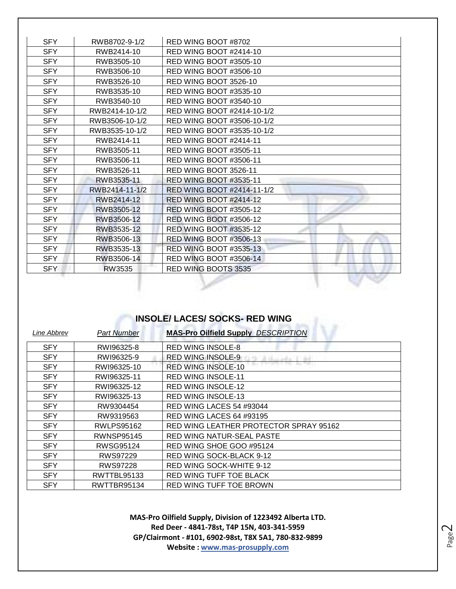| <b>SFY</b> | RWB8702-9-1/2  | RED WING BOOT #8702           |
|------------|----------------|-------------------------------|
| <b>SFY</b> | RWB2414-10     | RED WING BOOT #2414-10        |
| <b>SFY</b> | RWB3505-10     | RED WING BOOT #3505-10        |
| <b>SFY</b> | RWB3506-10     | <b>RED WING BOOT #3506-10</b> |
| <b>SFY</b> | RWB3526-10     | RED WING BOOT 3526-10         |
| <b>SFY</b> | RWB3535-10     | RED WING BOOT #3535-10        |
| <b>SFY</b> | RWB3540-10     | RED WING BOOT #3540-10        |
| <b>SFY</b> | RWB2414-10-1/2 | RED WING BOOT #2414-10-1/2    |
| <b>SFY</b> | RWB3506-10-1/2 | RED WING BOOT #3506-10-1/2    |
| <b>SFY</b> | RWB3535-10-1/2 | RED WING BOOT #3535-10-1/2    |
| <b>SFY</b> | RWB2414-11     | <b>RED WING BOOT #2414-11</b> |
| <b>SFY</b> | RWB3505-11     | RED WING BOOT #3505-11        |
| <b>SFY</b> | RWB3506-11     | RED WING BOOT #3506-11        |
| <b>SFY</b> | RWB3526-11     | RED WING BOOT 3526-11         |
| <b>SFY</b> | RWB3535-11     | <b>RED WING BOOT #3535-11</b> |
| <b>SFY</b> | RWB2414-11-1/2 | RED WING BOOT #2414-11-1/2    |
| <b>SFY</b> | RWB2414-12     | <b>RED WING BOOT #2414-12</b> |
| <b>SFY</b> | RWB3505-12     | <b>RED WING BOOT #3505-12</b> |
| <b>SFY</b> | RWB3506-12     | <b>RED WING BOOT #3506-12</b> |
| <b>SFY</b> | RWB3535-12     | <b>RED WING BOOT #3535-12</b> |
| <b>SFY</b> | RWB3506-13     | <b>RED WING BOOT #3506-13</b> |
| <b>SFY</b> | RWB3535-13     | RED WING BOOT #3535-13        |
| <b>SFY</b> | RWB3506-14     | <b>RED WING BOOT #3506-14</b> |
| <b>SFY</b> | RW3535         | RED WING BOOTS 3535           |

### **INSOLE/ LACES/ SOCKS- RED WING**

| Line Abbrev | <b>Part Number</b> | <b>MAS-Pro Oilfield Supply DESCRIPTION</b> |
|-------------|--------------------|--------------------------------------------|
| <b>SFY</b>  | RWI96325-8         | <b>RED WING INSOLE-8</b>                   |
| <b>SFY</b>  | RWI96325-9         | <b>RED WING INSOLE-9</b>                   |
| <b>SFY</b>  | RWI96325-10        | <b>RED WING INSOLE-10</b>                  |
| <b>SFY</b>  | RWI96325-11        | <b>RED WING INSOLE-11</b>                  |
| <b>SFY</b>  | RWI96325-12        | <b>RED WING INSOLE-12</b>                  |
| <b>SFY</b>  | RWI96325-13        | <b>RED WING INSOLE-13</b>                  |
| <b>SFY</b>  | RW9304454          | <b>RED WING LACES 54 #93044</b>            |
| <b>SFY</b>  | RW9319563          | <b>RED WING LACES 64 #93195</b>            |
| <b>SFY</b>  | RWLPS95162         | RED WING LEATHER PROTECTOR SPRAY 95162     |
| <b>SFY</b>  | <b>RWNSP95145</b>  | RED WING NATUR-SEAL PASTE                  |
| <b>SFY</b>  | RWSG95124          | RED WING SHOE GOO #95124                   |
| <b>SFY</b>  | RWS97229           | RED WING SOCK-BLACK 9-12                   |
| <b>SFY</b>  | RWS97228           | RED WING SOCK-WHITE 9-12                   |
| <b>SFY</b>  | <b>RWTTBL95133</b> | RED WING TUFF TOE BLACK                    |
| <b>SFY</b>  | RWTTBR95134        | RED WING TUFF TOE BROWN                    |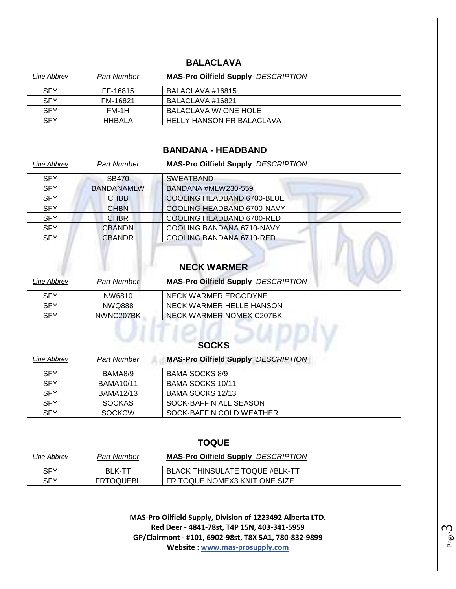### **BALACLAVA**

| Line Abbrev | Part Number | <b>MAS-Pro Oilfield Supply DESCRIPTION</b> |
|-------------|-------------|--------------------------------------------|
| <b>SFY</b>  | FF-16815    | BALACLAVA #16815                           |
| <b>SFY</b>  | FM-16821    | BALACLAVA #16821                           |
| <b>SFY</b>  | FM-1H       | BALACLAVA W/ONE HOLE                       |
| <b>SFY</b>  | HHBALA      | HELLY HANSON FR BALACLAVA                  |

#### **BANDANA - HEADBAND**

| Line Abbrev | <b>Part Number</b> | <b>MAS-Pro Oilfield Supply DESCRIPTION</b> |  |
|-------------|--------------------|--------------------------------------------|--|
| <b>SFY</b>  | <b>SB470</b>       | <b>SWEATBAND</b>                           |  |
| <b>SFY</b>  | <b>BANDANAMLW</b>  | BANDANA #MLW230-559                        |  |
| <b>SFY</b>  | <b>CHBB</b>        | COOLING HEADBAND 6700-BLUE                 |  |
| <b>SFY</b>  | <b>CHBN</b>        | COOLING HEADBAND 6700-NAVY                 |  |
| <b>SFY</b>  | <b>CHBR</b>        | COOLING HEADBAND 6700-RED                  |  |
| <b>SFY</b>  | <b>CBANDN</b>      | COOLING BANDANA 6710-NAVY                  |  |
| <b>SFY</b>  | <b>CBANDR</b>      | COOLING BANDANA 6710-RED                   |  |

# **NECK WARMER**

| Line Abbrev | <b>Part Number</b> | <b>MAS-Pro Oilfield Supply DESCRIPTION</b> |
|-------------|--------------------|--------------------------------------------|
| <b>SFY</b>  | NW6810             | NECK WARMER ERGODYNE                       |
| <b>SFY</b>  | NWQ888             | NECK WARMER HELLE HANSON                   |
| SFY         | NWNC207BK          | NECK WARMER NOMEX C207BK                   |

| <b>SOCKS</b>                                                                    |                          |  |  |
|---------------------------------------------------------------------------------|--------------------------|--|--|
| <b>MAS-Pro Oilfield Supply DESCRIPTION</b><br><b>Part Number</b><br>Line Abbrev |                          |  |  |
| BAMA8/9                                                                         | <b>BAMA SOCKS 8/9</b>    |  |  |
| <b>BAMA10/11</b>                                                                | BAMA SOCKS 10/11         |  |  |
| <b>BAMA12/13</b>                                                                | BAMA SOCKS 12/13         |  |  |
| <b>SOCKAS</b>                                                                   | SOCK-BAFFIN ALL SEASON   |  |  |
| <b>SOCKCW</b>                                                                   | SOCK-BAFFIN COLD WEATHER |  |  |
|                                                                                 |                          |  |  |

### **TOQUE**

| Line Abbrev | Part Number      | <b>MAS-Pro Oilfield Supply DESCRIPTION</b> |
|-------------|------------------|--------------------------------------------|
| <b>SFY</b>  | <b>BLK-TT</b>    | <b>BLACK THINSULATE TOQUE #BLK-TT</b>      |
| SFY         | <b>FRTOQUEBL</b> | FR TOQUE NOMEX3 KNIT ONE SIZE              |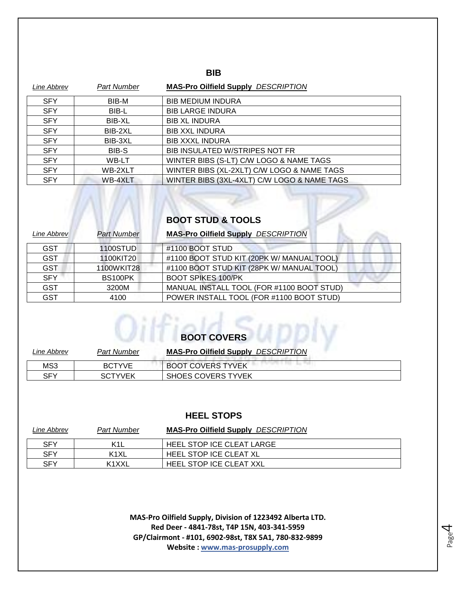### **BIB**

| Line Abbrev | <b>Part Number</b> | <b>MAS-Pro Oilfield Supply DESCRIPTION</b>  |
|-------------|--------------------|---------------------------------------------|
| <b>SFY</b>  | BIB-M              | <b>BIB MEDIUM INDURA</b>                    |
| <b>SFY</b>  | BIB-L              | <b>BIB LARGE INDURA</b>                     |
| <b>SFY</b>  | BIB-XL             | <b>BIB XL INDURA</b>                        |
| <b>SFY</b>  | BIB-2XL            | <b>BIB XXL INDURA</b>                       |
| <b>SFY</b>  | BIB-3XL            | <b>BIB XXXL INDURA</b>                      |
| <b>SFY</b>  | BIB-S              | BIB INSULATED W/STRIPES NOT FR              |
| <b>SFY</b>  | WB-LT              | WINTER BIBS (S-LT) C/W LOGO & NAME TAGS     |
| <b>SFY</b>  | WB-2XLT            | WINTER BIBS (XL-2XLT) C/W LOGO & NAME TAGS  |
| <b>SFY</b>  | WB-4XLT            | WINTER BIBS (3XL-4XLT) C/W LOGO & NAME TAGS |

# **BOOT STUD & TOOLS**

| Line Abbrev | <b>Part Number</b> | <b>MAS-Pro Oilfield Supply DESCRIPTION</b> |
|-------------|--------------------|--------------------------------------------|
| <b>GST</b>  | 1100STUD           | #1100 BOOT STUD                            |
| <b>GST</b>  | 1100KIT20          | #1100 BOOT STUD KIT (20PK W/ MANUAL TOOL)  |
| <b>GST</b>  | 1100WKIT28         | #1100 BOOT STUD KIT (28PK W/ MANUAL TOOL)  |
| <b>SFY</b>  | BS100PK            | <b>BOOT SPIKES 100/PK</b>                  |
| <b>GST</b>  | 3200M              | MANUAL INSTALL TOOL (FOR #1100 BOOT STUD)  |
| <b>GST</b>  | 4100               | POWER INSTALL TOOL (FOR #1100 BOOT STUD)   |

| <b>BOOT COVERS</b> |  |
|--------------------|--|

| Line Abbrev | <b>Part Number</b> | <b>MAS-Pro Oilfield Supply DESCRIPTION</b> |
|-------------|--------------------|--------------------------------------------|
| MS3         | <b>BCTYVE</b>      | <b>BOOT COVERS TYVEK</b>                   |
| SFY         | <b>SCTYVEK</b>     | <b>SHOES COVERS TYVEK</b>                  |

#### **HEEL STOPS**

| Line Abbrev | Part Number       | <b>MAS-Pro Oilfield Supply DESCRIPTION</b> |
|-------------|-------------------|--------------------------------------------|
| <b>SFY</b>  | K <sub>1</sub> L  | HEEL STOP ICE CLEAT LARGE                  |
| <b>SFY</b>  | K <sub>1</sub> XL | <b>HEEL STOP ICE CLEAT XL</b>              |
| SFY         | K1XXL             | <b>HEEL STOP ICE CLEAT XXL</b>             |

**MAS-Pro Oilfield Supply, Division of 1223492 Alberta LTD. Red Deer - 4841-78st, T4P 15N, 403-341-5959 GP/Clairmont - #101, 6902-98st, T8X 5A1, 780-832-9899 Website : www.mas-prosupply.com**

Page 4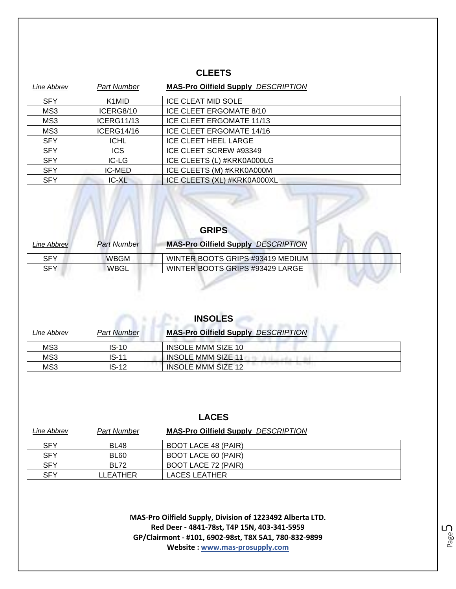### **CLEETS**

| Line Abbrev | <b>Part Number</b>             | <b>MAS-Pro Oilfield Supply DESCRIPTION</b> |
|-------------|--------------------------------|--------------------------------------------|
| <b>SFY</b>  | K <sub>1</sub> M <sub>ID</sub> | <b>ICE CLEAT MID SOLE</b>                  |
| MS3         | ICERG8/10                      | ICE CLEET ERGOMATE 8/10                    |
| MS3         | <b>ICERG11/13</b>              | <b>ICE CLEET ERGOMATE 11/13</b>            |
| MS3         | ICERG14/16                     | ICE CLEET ERGOMATE 14/16                   |
| <b>SFY</b>  | <b>ICHL</b>                    | <b>ICE CLEET HEEL LARGE</b>                |
| <b>SFY</b>  | <b>ICS</b>                     | ICE CLEET SCREW #93349                     |
| <b>SFY</b>  | IC-LG                          | ICE CLEETS (L) #KRK0A000LG                 |
| <b>SFY</b>  | <b>IC-MED</b>                  | ICE CLEETS (M) #KRK0A000M                  |
| <b>SFY</b>  | IC-XL                          | ICE CLEETS (XL) #KRK0A000XL                |

| <b>GRIPS</b> |                    |                                            |  |
|--------------|--------------------|--------------------------------------------|--|
| Line Abbrev  | <b>Part Number</b> | <b>MAS-Pro Oilfield Supply DESCRIPTION</b> |  |
| <b>SFY</b>   | <b>WBGM</b>        | WINTER BOOTS GRIPS #93419 MEDIUM           |  |
| <b>SFY</b>   | WBGL               | WINTER BOOTS GRIPS #93429 LARGE            |  |

 $\mathbb{M}$ 

| <b>INSOLES</b> |                    |                                            |  |
|----------------|--------------------|--------------------------------------------|--|
| Line Abbrev    | <b>Part Number</b> | <b>MAS-Pro Oilfield Supply DESCRIPTION</b> |  |
| MS3            | $IS-10$            | INSOLE MMM SIZE 10                         |  |
| MS3            | $IS-11$            | <b>INSOLE MMM SIZE 11</b>                  |  |
| MS3            | IS-12              | <b>INSOLE MMM SIZE 12</b>                  |  |

| Line Abbrev | Part Number | <b>MAS-Pro Oilfield Supply DESCRIPTION</b> |
|-------------|-------------|--------------------------------------------|
| <b>SFY</b>  | <b>BL48</b> | BOOT LACE 48 (PAIR)                        |
| <b>SFY</b>  | BL60        | BOOT LACE 60 (PAIR)                        |
| <b>SFY</b>  | <b>BL72</b> | BOOT LACE 72 (PAIR)                        |
| SFY         | LLEATHER    | LACES LEATHER                              |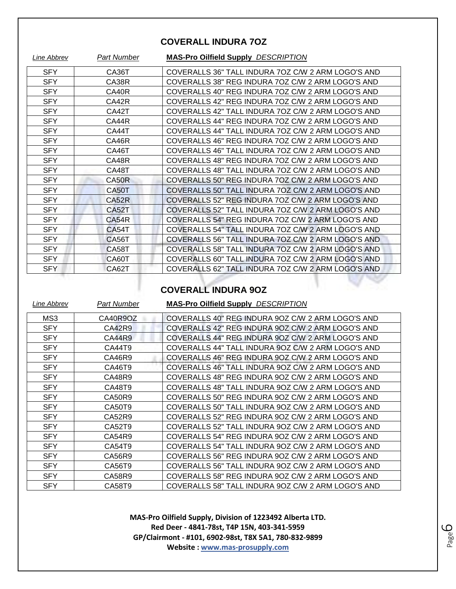### **COVERALL INDURA 7OZ**

| Line Abbrev | <b>Part Number</b> | <b>MAS-Pro Oilfield Supply DESCRIPTION</b>         |
|-------------|--------------------|----------------------------------------------------|
| <b>SFY</b>  | CA36T              | COVERALLS 36" TALL INDURA 7OZ C/W 2 ARM LOGO'S AND |
| <b>SFY</b>  | CA38R              | COVERALLS 38" REG INDURA 70Z C/W 2 ARM LOGO'S AND  |
| <b>SFY</b>  | CA40R              | COVERALLS 40" REG INDURA 7OZ C/W 2 ARM LOGO'S AND  |
| <b>SFY</b>  | CA42R              | COVERALLS 42" REG INDURA 7OZ C/W 2 ARM LOGO'S AND  |
| <b>SFY</b>  | CA42T              | COVERALLS 42" TALL INDURA 70Z C/W 2 ARM LOGO'S AND |
| <b>SFY</b>  | CA44R              | COVERALLS 44" REG INDURA 7OZ C/W 2 ARM LOGO'S AND  |
| <b>SFY</b>  | CA44T              | COVERALLS 44" TALL INDURA 7OZ C/W 2 ARM LOGO'S AND |
| <b>SFY</b>  | CA46R              | COVERALLS 46" REG INDURA 7OZ C/W 2 ARM LOGO'S AND  |
| <b>SFY</b>  | CA46T              | COVERALLS 46" TALL INDURA 7OZ C/W 2 ARM LOGO'S AND |
| <b>SFY</b>  | CA48R              | COVERALLS 48" REG INDURA 7OZ C/W 2 ARM LOGO'S AND  |
| <b>SFY</b>  | CA48T              | COVERALLS 48" TALL INDURA 7OZ C/W 2 ARM LOGO'S AND |
| <b>SFY</b>  | CA50R              | COVERALLS 50" REG INDURA 7OZ C/W 2 ARM LOGO'S AND  |
| <b>SFY</b>  | CA50T              | COVERALLS 50" TALL INDURA 7OZ C/W 2 ARM LOGO'S AND |
| <b>SFY</b>  | CA52R              | COVERALLS 52" REG INDURA 70Z C/W 2 ARM LOGO'S AND  |
| <b>SFY</b>  | CA52T              | COVERALLS 52" TALL INDURA 7OZ C/W 2 ARM LOGO'S AND |
| <b>SFY</b>  | <b>CA54R</b>       | COVERALLS 54" REG INDURA 7OZ C/W 2 ARM LOGO'S AND  |
| <b>SFY</b>  | CA54T              | COVERALLS 54" TALL INDURA 7OZ C/W 2 ARM LOGO'S AND |
| <b>SFY</b>  | CA56T              | COVERALLS 56" TALL INDURA 7OZ C/W 2 ARM LOGO'S AND |
| <b>SFY</b>  | <b>CA58T</b>       | COVERALLS 58" TALL INDURA 70Z C/W 2 ARM LOGO'S AND |
| SFY         | CA60T              | COVERALLS 60" TALL INDURA 7OZ C/W 2 ARM LOGO'S AND |
| <b>SFY</b>  | CA62T              | COVERALLS 62" TALL INDURA 70Z C/W 2 ARM LOGO'S AND |
|             |                    |                                                    |

### **COVERALL INDURA 9OZ**

| Line Abbrev | Part Number | <b>MAS-Pro Oilfield Supply DESCRIPTION</b>         |
|-------------|-------------|----------------------------------------------------|
| MS3         | CA40R9OZ    | COVERALLS 40" REG INDURA 9OZ C/W 2 ARM LOGO'S AND  |
| <b>SFY</b>  | CA42R9      | COVERALLS 42" REG INDURA 90Z C/W 2 ARM LOGO'S AND  |
| <b>SFY</b>  | CA44R9      | COVERALLS 44" REG INDURA 9OZ C/W 2 ARM LOGO'S AND  |
| <b>SFY</b>  | CA44T9      | COVERALLS 44" TALL INDURA 90Z C/W 2 ARM LOGO'S AND |
| <b>SFY</b>  | CA46R9      | COVERALLS 46" REG INDURA 9OZ C/W 2 ARM LOGO'S AND  |
| <b>SFY</b>  | CA46T9      | COVERALLS 46" TALL INDURA 90Z C/W 2 ARM LOGO'S AND |
| <b>SFY</b>  | CA48R9      | COVERALLS 48" REG INDURA 90Z C/W 2 ARM LOGO'S AND  |
| <b>SFY</b>  | CA48T9      | COVERALLS 48" TALL INDURA 9OZ C/W 2 ARM LOGO'S AND |
| <b>SFY</b>  | CA50R9      | COVERALLS 50" REG INDURA 9OZ C/W 2 ARM LOGO'S AND  |
| <b>SFY</b>  | CA50T9      | COVERALLS 50" TALL INDURA 9OZ C/W 2 ARM LOGO'S AND |
| <b>SFY</b>  | CA52R9      | COVERALLS 52" REG INDURA 90Z C/W 2 ARM LOGO'S AND  |
| <b>SFY</b>  | CA52T9      | COVERALLS 52" TALL INDURA 90Z C/W 2 ARM LOGO'S AND |
| <b>SFY</b>  | CA54R9      | COVERALLS 54" REG INDURA 9OZ C/W 2 ARM LOGO'S AND  |
| <b>SFY</b>  | CA54T9      | COVERALLS 54" TALL INDURA 9OZ C/W 2 ARM LOGO'S AND |
| <b>SFY</b>  | CA56R9      | COVERALLS 56" REG INDURA 90Z C/W 2 ARM LOGO'S AND  |
| <b>SFY</b>  | CA56T9      | COVERALLS 56" TALL INDURA 90Z C/W 2 ARM LOGO'S AND |
| <b>SFY</b>  | CA58R9      | COVERALLS 58" REG INDURA 9OZ C/W 2 ARM LOGO'S AND  |
| <b>SFY</b>  | CA58T9      | COVERALLS 58" TALL INDURA 90Z C/W 2 ARM LOGO'S AND |

**MAS-Pro Oilfield Supply, Division of 1223492 Alberta LTD. Red Deer - 4841-78st, T4P 15N, 403-341-5959 GP/Clairmont - #101, 6902-98st, T8X 5A1, 780-832-9899 Website : www.mas-prosupply.com**

Page ص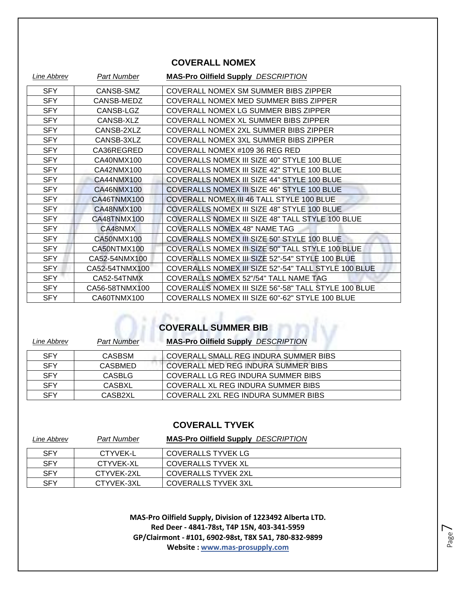### **COVERALL NOMEX**

| Line Abbrev | <b>Part Number</b> | <b>MAS-Pro Oilfield Supply DESCRIPTION</b>           |
|-------------|--------------------|------------------------------------------------------|
| <b>SFY</b>  | CANSB-SMZ          | COVERALL NOMEX SM SUMMER BIBS ZIPPER                 |
| <b>SFY</b>  | CANSB-MEDZ         | COVERALL NOMEX MED SUMMER BIBS ZIPPER                |
| <b>SFY</b>  | CANSB-LGZ          | COVERALL NOMEX LG SUMMER BIBS ZIPPER                 |
| <b>SFY</b>  | CANSB-XLZ          | COVERALL NOMEX XL SUMMER BIBS ZIPPER                 |
| <b>SFY</b>  | CANSB-2XLZ         | COVERALL NOMEX 2XL SUMMER BIBS ZIPPER                |
| <b>SFY</b>  | CANSB-3XLZ         | COVERALL NOMEX 3XL SUMMER BIBS ZIPPER                |
| <b>SFY</b>  | CA36REGRED         | COVERALL NOMEX #109 36 REG RED                       |
| <b>SFY</b>  | CA40NMX100         | COVERALLS NOMEX III SIZE 40" STYLE 100 BLUE          |
| <b>SFY</b>  | CA42NMX100         | COVERALLS NOMEX III SIZE 42" STYLE 100 BLUE          |
| <b>SFY</b>  | CA44NMX100         | COVERALLS NOMEX III SIZE 44" STYLE 100 BLUE          |
| <b>SFY</b>  | CA46NMX100         | COVERALLS NOMEX III SIZE 46" STYLE 100 BLUE          |
| <b>SFY</b>  | CA46TNMX100        | COVERALL NOMEX III 46 TALL STYLE 100 BLUE            |
| <b>SFY</b>  | CA48NMX100         | COVERALLS NOMEX III SIZE 48" STYLE 100 BLUE          |
| <b>SFY</b>  | CA48TNMX100        | COVERALLS NOMEX III SIZE 48" TALL STYLE 100 BLUE     |
| <b>SFY</b>  | CA48NMX            | <b>COVERALLS NOMEX 48" NAME TAG</b>                  |
| <b>SFY</b>  | CA50NMX100         | COVERALLS NOMEX III SIZE 50" STYLE 100 BLUE          |
| <b>SFY</b>  | CA50NTMX100        | COVERALLS NOMEX III SIZE 50" TALL STYLE 100 BLUE     |
| SFY         | CA52-54NMX100      | COVERALLS NOMEX III SIZE 52"-54" STYLE 100 BLUE      |
| SFY         | CA52-54TNMX100     | COVERALLS NOMEX III SIZE 52"-54" TALL STYLE 100 BLUE |
| <b>SFY</b>  | CA52-54TNMX        | COVERALLS NOMEX 52"/54" TALL NAME TAG                |
| <b>SFY</b>  | CA56-58TNMX100     | COVERALLS NOMEX III SIZE 56"-58" TALL STYLE 100 BLUE |
| <b>SFY</b>  | CA60TNMX100        | COVERALLS NOMEX III SIZE 60"-62" STYLE 100 BLUE      |

## **COVERALL SUMMER BIB**

| Line Abbrev | <b>Part Number</b> | <b>MAS-Pro Oilfield Supply DESCRIPTION</b> |
|-------------|--------------------|--------------------------------------------|
| <b>SFY</b>  | <b>CASBSM</b>      | COVERALL SMALL REG INDURA SUMMER BIBS      |
| <b>SFY</b>  | CASBMED            | COVERALL MED REG INDURA SUMMER BIBS        |
| <b>SFY</b>  | <b>CASBLG</b>      | COVERALL LG REG INDURA SUMMER BIBS         |
| <b>SFY</b>  | CASBXL             | COVERALL XL REG INDURA SUMMER BIBS         |
| <b>SFY</b>  | CASB2XL            | COVERALL 2XL REG INDURA SUMMER BIBS        |

### **COVERALL TYVEK**

| Line Abbrev | Part Number | <b>MAS-Pro Oilfield Supply DESCRIPTION</b> |
|-------------|-------------|--------------------------------------------|
| <b>SFY</b>  | CTYVEK-L    | <b>COVERALLS TYVEK LG</b>                  |
| <b>SFY</b>  | CTYVEK-XL   | COVERALLS TYVEK XL                         |
| <b>SFY</b>  | CTYVEK-2XL  | COVERALLS TYVEK 2XL                        |
| <b>SFY</b>  | CTYVEK-3XL  | <b>COVERALLS TYVEK 3XL</b>                 |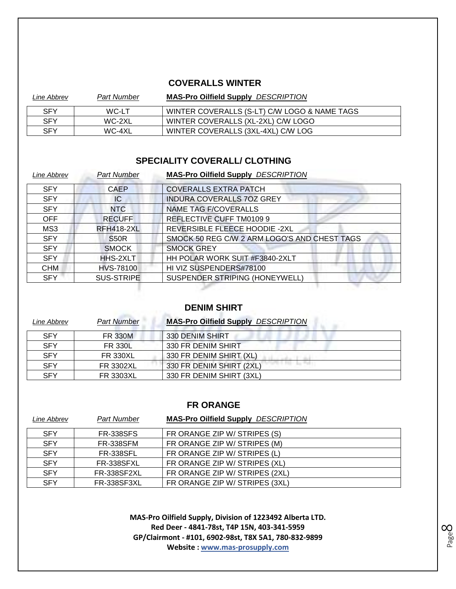### **COVERALLS WINTER**

| Line Abbrev | Part Number | <b>MAS-Pro Oilfield Supply DESCRIPTION</b>   |
|-------------|-------------|----------------------------------------------|
| <b>SFY</b>  | WC-LT       | WINTER COVERALLS (S-LT) C/W LOGO & NAME TAGS |
| <b>SFY</b>  | WC-2XL      | WINTER COVERALLS (XL-2XL) C/W LOGO           |
| SFY         | WC-4XL      | WINTER COVERALLS (3XL-4XL) C/W LOG           |

### **SPECIALITY COVERALL/ CLOTHING**

| Line Abbrev | <b>Part Number</b> | <b>MAS-Pro Oilfield Supply DESCRIPTION</b>   |
|-------------|--------------------|----------------------------------------------|
| <b>SFY</b>  | <b>CAEP</b>        | <b>COVERALLS EXTRA PATCH</b>                 |
| <b>SFY</b>  | IC.                | INDURA COVERALLS 70Z GREY                    |
| <b>SFY</b>  | <b>NTC</b>         | <b>NAME TAG F/COVERALLS</b>                  |
| <b>OFF</b>  | <b>RECUFF</b>      | REFLECTIVE CUFF TM0109 9                     |
| MS3         | <b>RFH418-2XL</b>  | REVERSIBLE FLEECE HOODIE -2XL                |
| <b>SFY</b>  | <b>S50R</b>        | SMOCK 50 REG C/W 2 ARM LOGO'S AND CHEST TAGS |
| <b>SFY</b>  | <b>SMOCK</b>       | <b>SMOCK GREY</b>                            |
| <b>SFY</b>  | HHS-2XLT           | HH POLAR WORK SUIT #F3840-2XLT               |
| <b>CHM</b>  | <b>HVS-78100</b>   | HI VIZ SUSPENDERS#78100                      |
| <b>SFY</b>  | <b>SUS-STRIPE</b>  | SUSPENDER STRIPING (HONEYWELL)               |
|             |                    |                                              |

### **DENIM SHIRT**

| Line Abbrev | <b>Part Number</b> | <b>MAS-Pro Oilfield Supply DESCRIPTION</b> |
|-------------|--------------------|--------------------------------------------|
| <b>SFY</b>  | <b>FR 330M</b>     | 330 DENIM SHIRT                            |
| <b>SFY</b>  | <b>FR 330L</b>     | 330 FR DENIM SHIRT                         |
| <b>SFY</b>  | <b>FR 330XL</b>    | 330 FR DENIM SHIRT (XL)                    |
| <b>SFY</b>  | <b>FR 3302XL</b>   | 330 FR DENIM SHIRT (2XL)                   |
| <b>SFY</b>  | <b>FR 3303XL</b>   | 330 FR DENIM SHIRT (3XL)                   |

#### **FR ORANGE**

| Line Abbrev | <b>Part Number</b> | <b>MAS-Pro Oilfield Supply DESCRIPTION</b> |
|-------------|--------------------|--------------------------------------------|
| <b>SFY</b>  | <b>FR-338SFS</b>   | FR ORANGE ZIP W/ STRIPES (S)               |
| <b>SFY</b>  | <b>FR-338SFM</b>   | FR ORANGE ZIP W/ STRIPES (M)               |
| <b>SFY</b>  | <b>FR-338SFL</b>   | FR ORANGE ZIP W/ STRIPES (L)               |
| <b>SFY</b>  | <b>FR-338SFXL</b>  | FR ORANGE ZIP W/ STRIPES (XL)              |
| <b>SFY</b>  | <b>FR-338SF2XL</b> | FR ORANGE ZIP W/ STRIPES (2XL)             |
| <b>SFY</b>  | <b>FR-338SF3XL</b> | FR ORANGE ZIP W/ STRIPES (3XL)             |

**MAS-Pro Oilfield Supply, Division of 1223492 Alberta LTD. Red Deer - 4841-78st, T4P 15N, 403-341-5959 GP/Clairmont - #101, 6902-98st, T8X 5A1, 780-832-9899 Website : www.mas-prosupply.com**

Page  $\infty$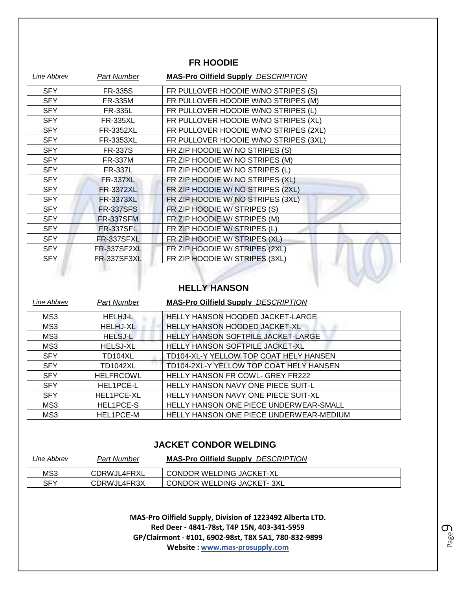### **FR HOODIE**

| <b>Line Abbrev</b> | <b>Part Number</b> | <b>MAS-Pro Oilfield Supply DESCRIPTION</b> |
|--------------------|--------------------|--------------------------------------------|
| <b>SFY</b>         | <b>FR-335S</b>     | FR PULLOVER HOODIE W/NO STRIPES (S)        |
| <b>SFY</b>         | FR-335M            | FR PULLOVER HOODIE W/NO STRIPES (M)        |
| <b>SFY</b>         | <b>FR-335L</b>     | FR PULLOVER HOODIE W/NO STRIPES (L)        |
| <b>SFY</b>         | <b>FR-335XL</b>    | FR PULLOVER HOODIE W/NO STRIPES (XL)       |
| <b>SFY</b>         | FR-3352XL          | FR PULLOVER HOODIE W/NO STRIPES (2XL)      |
| <b>SFY</b>         | FR-3353XL          | FR PULLOVER HOODIE W/NO STRIPES (3XL)      |
| <b>SFY</b>         | <b>FR-337S</b>     | FR ZIP HOODIE W/ NO STRIPES (S)            |
| <b>SFY</b>         | <b>FR-337M</b>     | FR ZIP HOODIE W/ NO STRIPES (M)            |
| <b>SFY</b>         | <b>FR-337L</b>     | FR ZIP HOODIE W/ NO STRIPES (L)            |
| <b>SFY</b>         | <b>FR-337XL</b>    | FR ZIP HOODIE W/ NO STRIPES (XL)           |
| <b>SFY</b>         | <b>FR-3372XL</b>   | FR ZIP HOODIE W/ NO STRIPES (2XL)          |
| <b>SFY</b>         | <b>FR-3373XL</b>   | FR ZIP HOODIE W/ NO STRIPES (3XL)          |
| <b>SFY</b>         | <b>FR-337SFS</b>   | FR ZIP HOODIE W/ STRIPES (S)               |
| <b>SFY</b>         | <b>FR-337SFM</b>   | FR ZIP HOODIE W/ STRIPES (M)               |
| <b>SFY</b>         | <b>FR-337SFL</b>   | FR ZIP HOODIE W/ STRIPES (L)               |
| <b>SFY</b>         | FR-337SFXL         | FR ZIP HOODIE W/ STRIPES (XL)              |
| <b>SFY</b>         | FR-337SF2XL        | FR ZIP HOODIE W/ STRIPES (2XL)             |
| <b>SFY</b>         | FR-337SF3XL        | FR ZIP HOODIE W/ STRIPES (3XL)             |
|                    |                    |                                            |

### **HELLY HANSON**

| Line Abbrev | <b>Part Number</b> | <b>MAS-Pro Oilfield Supply DESCRIPTION</b> |
|-------------|--------------------|--------------------------------------------|
| MS3         | <b>HELHJ-L</b>     | HELLY HANSON HOODED JACKET-LARGE           |
| MS3         | <b>HELHJ-XL</b>    | HELLY HANSON HOODED JACKET-XL              |
| MS3         | <b>HELSJ-L</b>     | HELLY HANSON SOFTPILE JACKET-LARGE         |
| MS3         | <b>HELSJ-XL</b>    | <b>HELLY HANSON SOFTPILE JACKET-XL</b>     |
| <b>SFY</b>  | TD104XL            | TD104-XL-Y YELLOW TOP COAT HELY HANSEN     |
| <b>SFY</b>  | <b>TD1042XL</b>    | TD104-2XL-Y YELLOW TOP COAT HELY HANSEN    |
| <b>SFY</b>  | <b>HELFRCOWL</b>   | <b>HELLY HANSON FR COWL- GREY FR222</b>    |
| <b>SFY</b>  | HEL1PCE-L          | <b>HELLY HANSON NAVY ONE PIECE SUIT-L</b>  |
| <b>SFY</b>  | <b>HEL1PCE-XL</b>  | <b>HELLY HANSON NAVY ONE PIECE SUIT-XL</b> |
| MS3         | HEL1PCE-S          | HELLY HANSON ONE PIECE UNDERWEAR-SMALL     |
| MS3         | <b>HEL1PCE-M</b>   | HELLY HANSON ONE PIECE UNDERWEAR-MEDIUM    |

### **JACKET CONDOR WELDING**

| Line Abbrev | <b>Part Number</b> | <b>MAS-Pro Oilfield Supply DESCRIPTION</b> |
|-------------|--------------------|--------------------------------------------|
| MS3         | CDRWJL4FRXL        | CONDOR WELDING JACKET-XL                   |
| SFY         | CDRWJL4FR3X        | <b>CONDOR WELDING JACKET-3XL</b>           |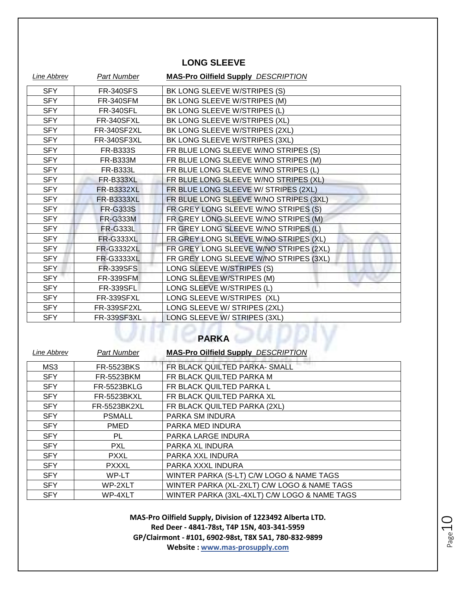### **LONG SLEEVE**

| <b>Line Abbrev</b> | <b>Part Number</b> | <b>MAS-Pro Oilfield Supply DESCRIPTION</b> |
|--------------------|--------------------|--------------------------------------------|
| <b>SFY</b>         | <b>FR-340SFS</b>   | BK LONG SLEEVE W/STRIPES (S)               |
| <b>SFY</b>         | <b>FR-340SFM</b>   | BK LONG SLEEVE W/STRIPES (M)               |
| <b>SFY</b>         | <b>FR-340SFL</b>   | BK LONG SLEEVE W/STRIPES (L)               |
| <b>SFY</b>         | FR-340SFXL         | BK LONG SLEEVE W/STRIPES (XL)              |
| <b>SFY</b>         | FR-340SF2XL        | BK LONG SLEEVE W/STRIPES (2XL)             |
| <b>SFY</b>         | FR-340SF3XL        | BK LONG SLEEVE W/STRIPES (3XL)             |
| <b>SFY</b>         | <b>FR-B333S</b>    | FR BLUE LONG SLEEVE W/NO STRIPES (S)       |
| <b>SFY</b>         | <b>FR-B333M</b>    | FR BLUE LONG SLEEVE W/NO STRIPES (M)       |
| <b>SFY</b>         | FR-B333L           | FR BLUE LONG SLEEVE W/NO STRIPES (L)       |
| <b>SFY</b>         | <b>FR-B333XL</b>   | FR BLUE LONG SLEEVE W/NO STRIPES (XL)      |
| <b>SFY</b>         | <b>FR-B3332XL</b>  | FR BLUE LONG SLEEVE W/ STRIPES (2XL)       |
| <b>SFY</b>         | <b>FR-B3333XL</b>  | FR BLUE LONG SLEEVE W/NO STRIPES (3XL)     |
| <b>SFY</b>         | <b>FR-G333S</b>    | FR GREY LONG SLEEVE W/NO STRIPES (S)       |
| <b>SFY</b>         | <b>FR-G333M</b>    | FR GREY LONG SLEEVE W/NO STRIPES (M)       |
| <b>SFY</b>         | <b>FR-G333L</b>    | FR GREY LONG SLEEVE W/NO STRIPES (L)       |
| <b>SFY</b>         | FR-G333XL          | FR GREY LONG SLEEVE W/NO STRIPES (XL)      |
| <b>SFY</b>         | <b>FR-G3332XL</b>  | FR GREY LONG SLEEVE W/NO STRIPES (2XL)     |
| SFY                | <b>FR-G3333XL</b>  | FR GREY LONG SLEEVE W/NO STRIPES (3XL)     |
| <b>SFY</b>         | <b>FR-339SFS</b>   | LONG SLEEVE W/STRIPES (S)                  |
| <b>SFY</b>         | <b>FR-339SFM</b>   | LONG SLEEVE W/STRIPES (M)                  |
| <b>SFY</b>         | <b>FR-339SFL</b>   | LONG SLEEVE W/STRIPES (L)                  |
| <b>SFY</b>         | FR-339SFXL         | LONG SLEEVE W/STRIPES (XL)                 |
| <b>SFY</b>         | FR-339SF2XL        | LONG SLEEVE W/ STRIPES (2XL)               |
| <b>SFY</b>         | FR-339SF3XL        | LONG SLEEVE W/ STRIPES (3XL)               |
| <b>PARKA</b>       |                    |                                            |

| Line Abbrev | <b>Part Number</b> | <b>MAS-Pro Oilfield Supply DESCRIPTION</b>   |
|-------------|--------------------|----------------------------------------------|
| MS3         | <b>FR-5523BKS</b>  | FR BLACK QUILTED PARKA- SMALL                |
| <b>SFY</b>  | FR-5523BKM         | FR BLACK QUILTED PARKA M                     |
| <b>SFY</b>  | <b>FR-5523BKLG</b> | FR BLACK QUILTED PARKA L                     |
| <b>SFY</b>  | <b>FR-5523BKXL</b> | FR BLACK QUILTED PARKA XL                    |
| <b>SFY</b>  | FR-5523BK2XL       | FR BLACK QUILTED PARKA (2XL)                 |
| <b>SFY</b>  | <b>PSMALL</b>      | PARKA SM INDURA                              |
| <b>SFY</b>  | <b>PMED</b>        | PARKA MED INDURA                             |
| <b>SFY</b>  | PL                 | PARKA LARGE INDURA                           |
| <b>SFY</b>  | <b>PXL</b>         | PARKA XL INDURA                              |
| <b>SFY</b>  | <b>PXXL</b>        | PARKA XXL INDURA                             |
| <b>SFY</b>  | <b>PXXXL</b>       | PARKA XXXL INDURA                            |
| <b>SFY</b>  | WP-LT              | WINTER PARKA (S-LT) C/W LOGO & NAME TAGS     |
| <b>SFY</b>  | WP-2XLT            | WINTER PARKA (XL-2XLT) C/W LOGO & NAME TAGS  |
| <b>SFY</b>  | WP-4XLT            | WINTER PARKA (3XL-4XLT) C/W LOGO & NAME TAGS |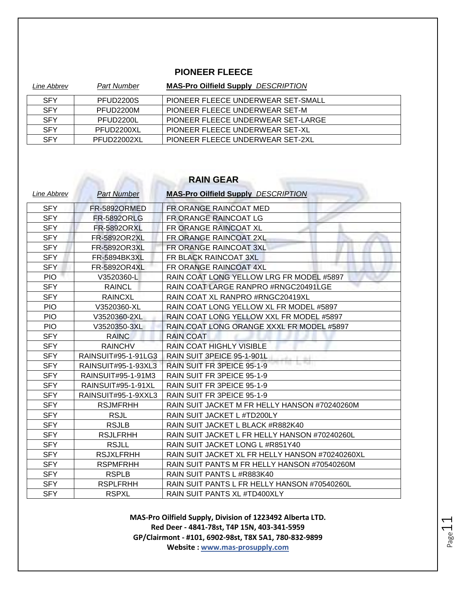### **PIONEER FLEECE**

| Line Abbrev | <b>Part Number</b> | <b>MAS-Pro Oilfield Supply DESCRIPTION</b> |
|-------------|--------------------|--------------------------------------------|
| <b>SFY</b>  | PFUD2200S          | PIONEER FLEECE UNDERWEAR SET-SMALL         |
| <b>SFY</b>  | PFUD2200M          | PIONEER FLEECE UNDERWEAR SET-M             |
| <b>SFY</b>  | PFUD2200L          | PIONEER FLEECE UNDERWEAR SET-LARGE         |
| <b>SFY</b>  | PFUD2200XL         | PIONEER FLEECE UNDERWEAR SET-XL            |
| <b>SFY</b>  | PFUD22002XL        | PIONEER FLEECE UNDERWEAR SET-2XL           |

### **RAIN GEAR**

| Line Abbrev | <b>Part Number</b>  | <b>MAS-Pro Oilfield Supply DESCRIPTION</b>      |
|-------------|---------------------|-------------------------------------------------|
| <b>SFY</b>  | FR-5892ORMED        | FR ORANGE RAINCOAT MED                          |
| <b>SFY</b>  | <b>FR-5892ORLG</b>  | FR ORANGE RAINCOAT LG                           |
| <b>SFY</b>  | <b>FR-5892ORXL</b>  | FR ORANGE RAINCOAT XL                           |
| <b>SFY</b>  | FR-5892OR2XL        | FR ORANGE RAINCOAT 2XL                          |
| <b>SFY</b>  | FR-5892OR3XL        | FR ORANGE RAINCOAT 3XL                          |
| <b>SFY</b>  | FR-5894BK3XL        | FR BLACK RAINCOAT 3XL                           |
| <b>SFY</b>  | <b>FR-5892OR4XL</b> | FR ORANGE RAINCOAT 4XL                          |
| <b>PIO</b>  | V3520360-L          | RAIN COAT LONG YELLOW LRG FR MODEL #5897        |
| <b>SFY</b>  | <b>RAINCL</b>       | RAIN COAT LARGE RANPRO #RNGC20491LGE            |
| <b>SFY</b>  | <b>RAINCXL</b>      | RAIN COAT XL RANPRO #RNGC20419XL                |
| <b>PIO</b>  | V3520360-XL         | RAIN COAT LONG YELLOW XL FR MODEL #5897         |
| <b>PIO</b>  | V3520360-2XL        | RAIN COAT LONG YELLOW XXL FR MODEL #5897        |
| <b>PIO</b>  | V3520350-3XL        | RAIN COAT LONG ORANGE XXXL FR MODEL #5897       |
| <b>SFY</b>  | <b>RAINC</b>        | <b>RAIN COAT</b>                                |
| <b>SFY</b>  | <b>RAINCHV</b>      | RAIN COAT HIGHLY VISIBLE                        |
| <b>SFY</b>  | RAINSUIT#95-1-91LG3 | RAIN SUIT 3PEICE 95-1-901L                      |
| <b>SFY</b>  | RAINSUIT#95-1-93XL3 | RAIN SUIT FR 3PEICE 95-1-9                      |
| <b>SFY</b>  | RAINSUIT#95-1-91M3  | RAIN SUIT FR 3PEICE 95-1-9                      |
| <b>SFY</b>  | RAINSUIT#95-1-91XL  | RAIN SUIT FR 3PEICE 95-1-9                      |
| <b>SFY</b>  | RAINSUIT#95-1-9XXL3 | RAIN SUIT FR 3PEICE 95-1-9                      |
| <b>SFY</b>  | <b>RSJMFRHH</b>     | RAIN SUIT JACKET M FR HELLY HANSON #70240260M   |
| <b>SFY</b>  | <b>RSJL</b>         | RAIN SUIT JACKET L #TD200LY                     |
| <b>SFY</b>  | <b>RSJLB</b>        | RAIN SUIT JACKET L BLACK #R882K40               |
| <b>SFY</b>  | <b>RSJLFRHH</b>     | RAIN SUIT JACKET L FR HELLY HANSON #70240260L   |
| <b>SFY</b>  | <b>RSJLL</b>        | RAIN SUIT JACKET LONG L #R851Y40                |
| <b>SFY</b>  | <b>RSJXLFRHH</b>    | RAIN SUIT JACKET XL FR HELLY HANSON #70240260XL |
| <b>SFY</b>  | <b>RSPMFRHH</b>     | RAIN SUIT PANTS M FR HELLY HANSON #70540260M    |
| <b>SFY</b>  | <b>RSPLB</b>        | RAIN SUIT PANTS L #R883K40                      |
| <b>SFY</b>  | <b>RSPLFRHH</b>     | RAIN SUIT PANTS L FR HELLY HANSON #70540260L    |
| <b>SFY</b>  | <b>RSPXL</b>        | RAIN SUIT PANTS XL #TD400XLY                    |